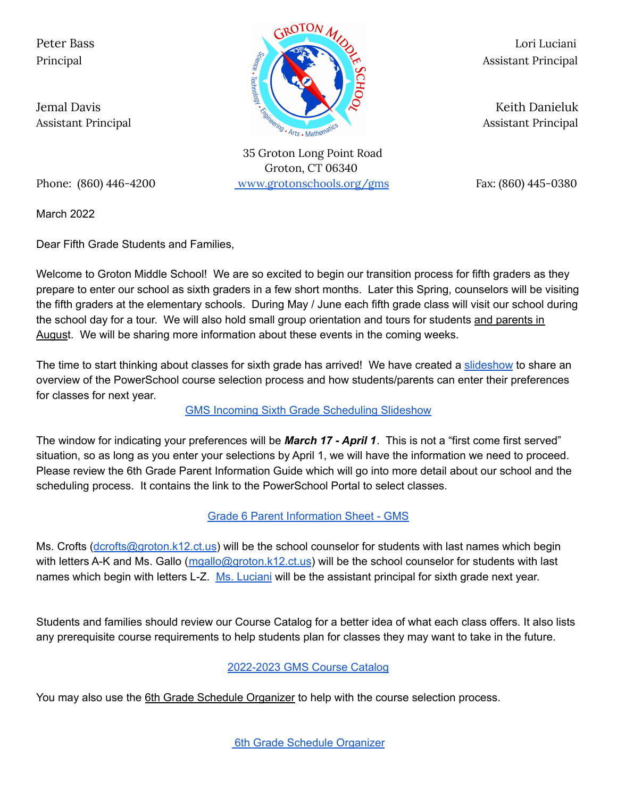

35 Groton Long Point Road Groton, CT 06340 Phone: (860) 446-4200 [www.grotonschools.org/gms](http://www.grotonschools.org/gms) Fax: (860) 445-0380

March 2022

Dear Fifth Grade Students and Families,

Welcome to Groton Middle School! We are so excited to begin our transition process for fifth graders as they prepare to enter our school as sixth graders in a few short months. Later this Spring, counselors will be visiting the fifth graders at the elementary schools. During May / June each fifth grade class will visit our school during the school day for a tour. We will also hold small group orientation and tours for students and parents in August. We will be sharing more information about these events in the coming weeks.

The time to start thinking about classes for sixth grade has arrived! We have created a [slideshow](https://docs.google.com/presentation/d/1x306P29MbWw6WAQsGJXtO2eSraehK8Zc2dO9zMGiFH8/edit?usp=sharing) to share an overview of the PowerSchool course selection process and how students/parents can enter their preferences for classes for next year.

## GMS Incoming Sixth Grade [Scheduling](https://docs.google.com/presentation/d/1x306P29MbWw6WAQsGJXtO2eSraehK8Zc2dO9zMGiFH8/edit?usp=sharing) Slideshow

The window for indicating your preferences will be *March 17 - April 1*. This is not a "first come first served" situation, so as long as you enter your selections by April 1, we will have the information we need to proceed. Please review the 6th Grade Parent Information Guide which will go into more detail about our school and the scheduling process. It contains the link to the PowerSchool Portal to select classes.

Grade 6 Parent [Information](https://docs.google.com/document/d/1d3JVGGRH1WtQvIhcXbNw20r7EejCaSbRaTm-gqEBadQ/edit?usp=sharing) Sheet - GMS

Ms. Crofts ([dcrofts@groton.k12.ct.us](mailto:dcrofts@groton.k12.ct.us)) will be the school counselor for students with last names which begin with letters A-K and Ms. Gallo ([mgallo@groton.k12.ct.us](mailto:mgallo@groton.k12.ct.us)) will be the school counselor for students with last names which begin with letters L-Z. Ms. [Luciani](mailto:lluciani@groton.k12.ct.us) will be the assistant principal for sixth grade next year.

Students and families should review our Course Catalog for a better idea of what each class offers. It also lists any prerequisite course requirements to help students plan for classes they may want to take in the future.

## [2022-2023](https://docs.google.com/document/d/1acu5feaILRFFPab3n5m7vUlOYuCAydg3/edit?usp=sharing&ouid=113507853367703474802&rtpof=true&sd=true) GMS Course Catalog

You may also use the 6th Grade Schedule Organizer to help with the course selection process.